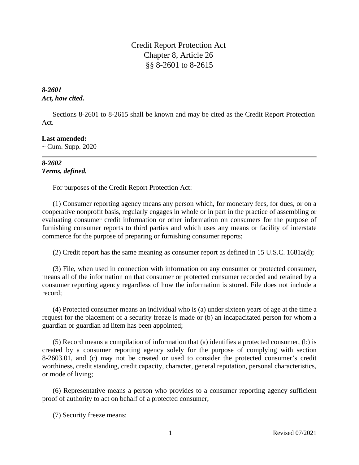Credit Report Protection Act Chapter 8, Article 26 §§ 8-2601 to 8-2615

# *8-2601 Act, how cited.*

Sections 8-2601 to 8-2615 shall be known and may be cited as the Credit Report Protection Act.

# **Last amended:**

 $\sim$  Cum. Supp. 2020

# *8-2602 Terms, defined.*

For purposes of the Credit Report Protection Act:

(1) Consumer reporting agency means any person which, for monetary fees, for dues, or on a cooperative nonprofit basis, regularly engages in whole or in part in the practice of assembling or evaluating consumer credit information or other information on consumers for the purpose of furnishing consumer reports to third parties and which uses any means or facility of interstate commerce for the purpose of preparing or furnishing consumer reports;

(2) Credit report has the same meaning as consumer report as defined in 15 U.S.C. 1681a(d);

(3) File, when used in connection with information on any consumer or protected consumer, means all of the information on that consumer or protected consumer recorded and retained by a consumer reporting agency regardless of how the information is stored. File does not include a record;

(4) Protected consumer means an individual who is (a) under sixteen years of age at the time a request for the placement of a security freeze is made or (b) an incapacitated person for whom a guardian or guardian ad litem has been appointed;

(5) Record means a compilation of information that (a) identifies a protected consumer, (b) is created by a consumer reporting agency solely for the purpose of complying with section 8-2603.01, and (c) may not be created or used to consider the protected consumer's credit worthiness, credit standing, credit capacity, character, general reputation, personal characteristics, or mode of living;

(6) Representative means a person who provides to a consumer reporting agency sufficient proof of authority to act on behalf of a protected consumer;

(7) Security freeze means: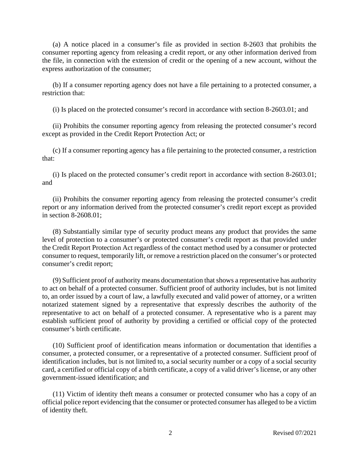(a) A notice placed in a consumer's file as provided in section 8-2603 that prohibits the consumer reporting agency from releasing a credit report, or any other information derived from the file, in connection with the extension of credit or the opening of a new account, without the express authorization of the consumer;

(b) If a consumer reporting agency does not have a file pertaining to a protected consumer, a restriction that:

(i) Is placed on the protected consumer's record in accordance with section 8-2603.01; and

(ii) Prohibits the consumer reporting agency from releasing the protected consumer's record except as provided in the Credit Report Protection Act; or

(c) If a consumer reporting agency has a file pertaining to the protected consumer, a restriction that:

(i) Is placed on the protected consumer's credit report in accordance with section 8-2603.01; and

(ii) Prohibits the consumer reporting agency from releasing the protected consumer's credit report or any information derived from the protected consumer's credit report except as provided in section 8-2608.01;

(8) Substantially similar type of security product means any product that provides the same level of protection to a consumer's or protected consumer's credit report as that provided under the Credit Report Protection Act regardless of the contact method used by a consumer or protected consumer to request, temporarily lift, or remove a restriction placed on the consumer's or protected consumer's credit report;

(9) Sufficient proof of authority means documentation that shows a representative has authority to act on behalf of a protected consumer. Sufficient proof of authority includes, but is not limited to, an order issued by a court of law, a lawfully executed and valid power of attorney, or a written notarized statement signed by a representative that expressly describes the authority of the representative to act on behalf of a protected consumer. A representative who is a parent may establish sufficient proof of authority by providing a certified or official copy of the protected consumer's birth certificate.

(10) Sufficient proof of identification means information or documentation that identifies a consumer, a protected consumer, or a representative of a protected consumer. Sufficient proof of identification includes, but is not limited to, a social security number or a copy of a social security card, a certified or official copy of a birth certificate, a copy of a valid driver's license, or any other government-issued identification; and

(11) Victim of identity theft means a consumer or protected consumer who has a copy of an official police report evidencing that the consumer or protected consumer has alleged to be a victim of identity theft.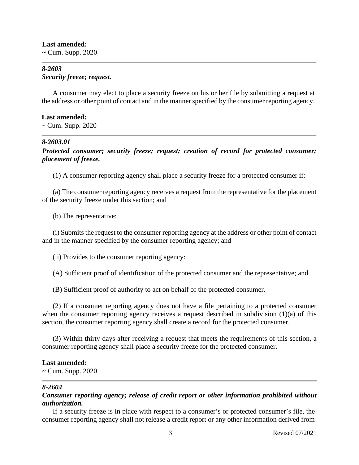**Last amended:**  $\sim$  Cum. Supp. 2020

## *8-2603 Security freeze; request.*

A consumer may elect to place a security freeze on his or her file by submitting a request at the address or other point of contact and in the manner specified by the consumer reporting agency.

## **Last amended:**

 $\sim$  Cum. Supp. 2020

## *8-2603.01*

*Protected consumer; security freeze; request; creation of record for protected consumer; placement of freeze.*

(1) A consumer reporting agency shall place a security freeze for a protected consumer if:

(a) The consumer reporting agency receives a request from the representative for the placement of the security freeze under this section; and

(b) The representative:

(i) Submits the request to the consumer reporting agency at the address or other point of contact and in the manner specified by the consumer reporting agency; and

(ii) Provides to the consumer reporting agency:

(A) Sufficient proof of identification of the protected consumer and the representative; and

(B) Sufficient proof of authority to act on behalf of the protected consumer.

(2) If a consumer reporting agency does not have a file pertaining to a protected consumer when the consumer reporting agency receives a request described in subdivision (1)(a) of this section, the consumer reporting agency shall create a record for the protected consumer.

(3) Within thirty days after receiving a request that meets the requirements of this section, a consumer reporting agency shall place a security freeze for the protected consumer.

## **Last amended:**

~ Cum. Supp. 2020

## *8-2604*

# *Consumer reporting agency; release of credit report or other information prohibited without authorization.*

If a security freeze is in place with respect to a consumer's or protected consumer's file, the consumer reporting agency shall not release a credit report or any other information derived from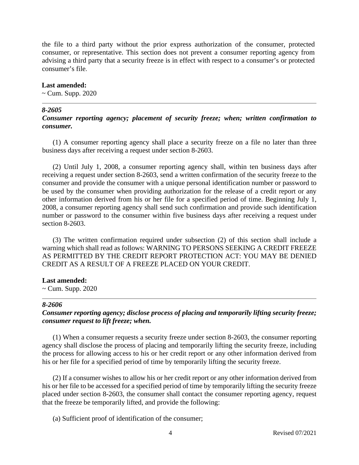the file to a third party without the prior express authorization of the consumer, protected consumer, or representative. This section does not prevent a consumer reporting agency from advising a third party that a security freeze is in effect with respect to a consumer's or protected consumer's file.

#### **Last amended:**

 $\sim$  Cum. Supp. 2020

### *8-2605*

## *Consumer reporting agency; placement of security freeze; when; written confirmation to consumer.*

(1) A consumer reporting agency shall place a security freeze on a file no later than three business days after receiving a request under section 8-2603.

(2) Until July 1, 2008, a consumer reporting agency shall, within ten business days after receiving a request under section 8-2603, send a written confirmation of the security freeze to the consumer and provide the consumer with a unique personal identification number or password to be used by the consumer when providing authorization for the release of a credit report or any other information derived from his or her file for a specified period of time. Beginning July 1, 2008, a consumer reporting agency shall send such confirmation and provide such identification number or password to the consumer within five business days after receiving a request under section 8-2603.

(3) The written confirmation required under subsection (2) of this section shall include a warning which shall read as follows: WARNING TO PERSONS SEEKING A CREDIT FREEZE AS PERMITTED BY THE CREDIT REPORT PROTECTION ACT: YOU MAY BE DENIED CREDIT AS A RESULT OF A FREEZE PLACED ON YOUR CREDIT.

### **Last amended:**

 $\sim$  Cum. Supp. 2020

### *8-2606*

# *Consumer reporting agency; disclose process of placing and temporarily lifting security freeze; consumer request to lift freeze; when.*

(1) When a consumer requests a security freeze under section 8-2603, the consumer reporting agency shall disclose the process of placing and temporarily lifting the security freeze, including the process for allowing access to his or her credit report or any other information derived from his or her file for a specified period of time by temporarily lifting the security freeze.

(2) If a consumer wishes to allow his or her credit report or any other information derived from his or her file to be accessed for a specified period of time by temporarily lifting the security freeze placed under section 8-2603, the consumer shall contact the consumer reporting agency, request that the freeze be temporarily lifted, and provide the following:

(a) Sufficient proof of identification of the consumer;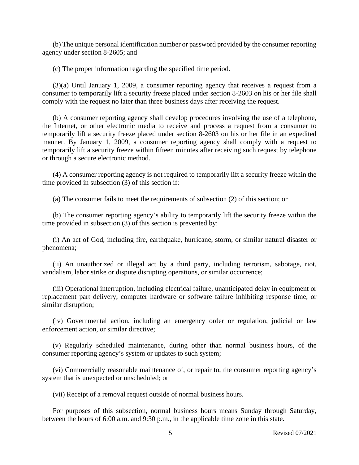(b) The unique personal identification number or password provided by the consumer reporting agency under section 8-2605; and

(c) The proper information regarding the specified time period.

(3)(a) Until January 1, 2009, a consumer reporting agency that receives a request from a consumer to temporarily lift a security freeze placed under section 8-2603 on his or her file shall comply with the request no later than three business days after receiving the request.

(b) A consumer reporting agency shall develop procedures involving the use of a telephone, the Internet, or other electronic media to receive and process a request from a consumer to temporarily lift a security freeze placed under section 8-2603 on his or her file in an expedited manner. By January 1, 2009, a consumer reporting agency shall comply with a request to temporarily lift a security freeze within fifteen minutes after receiving such request by telephone or through a secure electronic method.

(4) A consumer reporting agency is not required to temporarily lift a security freeze within the time provided in subsection (3) of this section if:

(a) The consumer fails to meet the requirements of subsection (2) of this section; or

(b) The consumer reporting agency's ability to temporarily lift the security freeze within the time provided in subsection (3) of this section is prevented by:

(i) An act of God, including fire, earthquake, hurricane, storm, or similar natural disaster or phenomena;

(ii) An unauthorized or illegal act by a third party, including terrorism, sabotage, riot, vandalism, labor strike or dispute disrupting operations, or similar occurrence;

(iii) Operational interruption, including electrical failure, unanticipated delay in equipment or replacement part delivery, computer hardware or software failure inhibiting response time, or similar disruption;

(iv) Governmental action, including an emergency order or regulation, judicial or law enforcement action, or similar directive;

(v) Regularly scheduled maintenance, during other than normal business hours, of the consumer reporting agency's system or updates to such system;

(vi) Commercially reasonable maintenance of, or repair to, the consumer reporting agency's system that is unexpected or unscheduled; or

(vii) Receipt of a removal request outside of normal business hours.

For purposes of this subsection, normal business hours means Sunday through Saturday, between the hours of 6:00 a.m. and 9:30 p.m., in the applicable time zone in this state.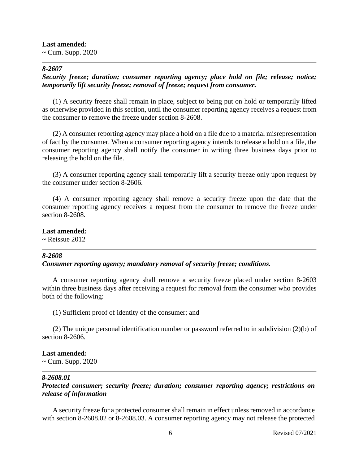### **Last amended:**

 $\sim$  Cum. Supp. 2020

### *8-2607*

# *Security freeze; duration; consumer reporting agency; place hold on file; release; notice; temporarily lift security freeze; removal of freeze; request from consumer.*

(1) A security freeze shall remain in place, subject to being put on hold or temporarily lifted as otherwise provided in this section, until the consumer reporting agency receives a request from the consumer to remove the freeze under section 8-2608.

(2) A consumer reporting agency may place a hold on a file due to a material misrepresentation of fact by the consumer. When a consumer reporting agency intends to release a hold on a file, the consumer reporting agency shall notify the consumer in writing three business days prior to releasing the hold on the file.

(3) A consumer reporting agency shall temporarily lift a security freeze only upon request by the consumer under section 8-2606.

(4) A consumer reporting agency shall remove a security freeze upon the date that the consumer reporting agency receives a request from the consumer to remove the freeze under section 8-2608.

**Last amended:**

 $\sim$  Reissue 2012

## *8-2608*

## *Consumer reporting agency; mandatory removal of security freeze; conditions.*

A consumer reporting agency shall remove a security freeze placed under section 8-2603 within three business days after receiving a request for removal from the consumer who provides both of the following:

(1) Sufficient proof of identity of the consumer; and

(2) The unique personal identification number or password referred to in subdivision (2)(b) of section 8-2606.

# **Last amended:**

~ Cum. Supp. 2020

# *8-2608.01*

*Protected consumer; security freeze; duration; consumer reporting agency; restrictions on release of information*

A security freeze for a protected consumer shall remain in effect unless removed in accordance with section 8-2608.02 or 8-2608.03. A consumer reporting agency may not release the protected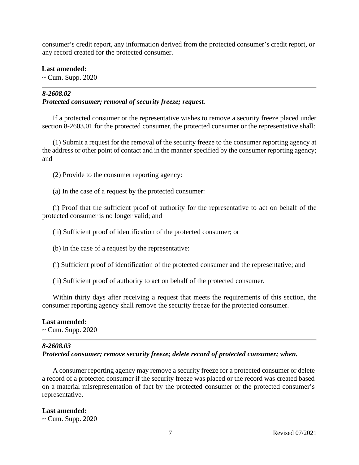consumer's credit report, any information derived from the protected consumer's credit report, or any record created for the protected consumer.

### **Last amended:**

~ Cum. Supp. 2020

# *8-2608.02 Protected consumer; removal of security freeze; request.*

If a protected consumer or the representative wishes to remove a security freeze placed under section 8-2603.01 for the protected consumer, the protected consumer or the representative shall:

(1) Submit a request for the removal of the security freeze to the consumer reporting agency at the address or other point of contact and in the manner specified by the consumer reporting agency; and

(2) Provide to the consumer reporting agency:

(a) In the case of a request by the protected consumer:

(i) Proof that the sufficient proof of authority for the representative to act on behalf of the protected consumer is no longer valid; and

(ii) Sufficient proof of identification of the protected consumer; or

(b) In the case of a request by the representative:

(i) Sufficient proof of identification of the protected consumer and the representative; and

(ii) Sufficient proof of authority to act on behalf of the protected consumer.

Within thirty days after receiving a request that meets the requirements of this section, the consumer reporting agency shall remove the security freeze for the protected consumer.

#### **Last amended:**

 $\sim$  Cum. Supp. 2020

# *8-2608.03*

*Protected consumer; remove security freeze; delete record of protected consumer; when.*

A consumer reporting agency may remove a security freeze for a protected consumer or delete a record of a protected consumer if the security freeze was placed or the record was created based on a material misrepresentation of fact by the protected consumer or the protected consumer's representative.

## **Last amended:**

 $\sim$  Cum. Supp. 2020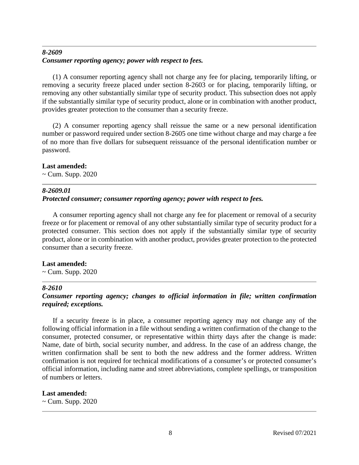# *8-2609 Consumer reporting agency; power with respect to fees.*

(1) A consumer reporting agency shall not charge any fee for placing, temporarily lifting, or removing a security freeze placed under section 8-2603 or for placing, temporarily lifting, or removing any other substantially similar type of security product. This subsection does not apply if the substantially similar type of security product, alone or in combination with another product, provides greater protection to the consumer than a security freeze.

(2) A consumer reporting agency shall reissue the same or a new personal identification number or password required under section 8-2605 one time without charge and may charge a fee of no more than five dollars for subsequent reissuance of the personal identification number or password.

## **Last amended:**

 $\sim$  Cum. Supp. 2020

# *8-2609.01*

# *Protected consumer; consumer reporting agency; power with respect to fees.*

A consumer reporting agency shall not charge any fee for placement or removal of a security freeze or for placement or removal of any other substantially similar type of security product for a protected consumer. This section does not apply if the substantially similar type of security product, alone or in combination with another product, provides greater protection to the protected consumer than a security freeze.

# **Last amended:**

 $\sim$  Cum. Supp. 2020

## *8-2610*

# *Consumer reporting agency; changes to official information in file; written confirmation required; exceptions.*

If a security freeze is in place, a consumer reporting agency may not change any of the following official information in a file without sending a written confirmation of the change to the consumer, protected consumer, or representative within thirty days after the change is made: Name, date of birth, social security number, and address. In the case of an address change, the written confirmation shall be sent to both the new address and the former address. Written confirmation is not required for technical modifications of a consumer's or protected consumer's official information, including name and street abbreviations, complete spellings, or transposition of numbers or letters.

# **Last amended:**

 $\sim$  Cum. Supp. 2020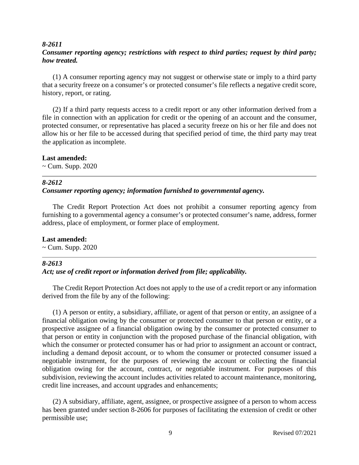### *8-2611*

# *Consumer reporting agency; restrictions with respect to third parties; request by third party; how treated.*

(1) A consumer reporting agency may not suggest or otherwise state or imply to a third party that a security freeze on a consumer's or protected consumer's file reflects a negative credit score, history, report, or rating.

(2) If a third party requests access to a credit report or any other information derived from a file in connection with an application for credit or the opening of an account and the consumer, protected consumer, or representative has placed a security freeze on his or her file and does not allow his or her file to be accessed during that specified period of time, the third party may treat the application as incomplete.

## **Last amended:**

 $\sim$  Cum. Supp. 2020

#### *8-2612*

## *Consumer reporting agency; information furnished to governmental agency.*

The Credit Report Protection Act does not prohibit a consumer reporting agency from furnishing to a governmental agency a consumer's or protected consumer's name, address, former address, place of employment, or former place of employment.

#### **Last amended:**

 $\sim$  Cum. Supp. 2020

#### *8-2613*

### *Act; use of credit report or information derived from file; applicability.*

The Credit Report Protection Act does not apply to the use of a credit report or any information derived from the file by any of the following:

(1) A person or entity, a subsidiary, affiliate, or agent of that person or entity, an assignee of a financial obligation owing by the consumer or protected consumer to that person or entity, or a prospective assignee of a financial obligation owing by the consumer or protected consumer to that person or entity in conjunction with the proposed purchase of the financial obligation, with which the consumer or protected consumer has or had prior to assignment an account or contract, including a demand deposit account, or to whom the consumer or protected consumer issued a negotiable instrument, for the purposes of reviewing the account or collecting the financial obligation owing for the account, contract, or negotiable instrument. For purposes of this subdivision, reviewing the account includes activities related to account maintenance, monitoring, credit line increases, and account upgrades and enhancements;

(2) A subsidiary, affiliate, agent, assignee, or prospective assignee of a person to whom access has been granted under section 8-2606 for purposes of facilitating the extension of credit or other permissible use;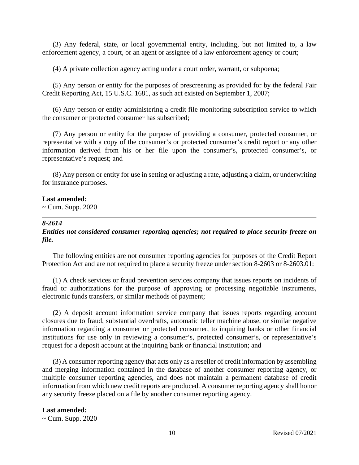(3) Any federal, state, or local governmental entity, including, but not limited to, a law enforcement agency, a court, or an agent or assignee of a law enforcement agency or court;

(4) A private collection agency acting under a court order, warrant, or subpoena;

(5) Any person or entity for the purposes of prescreening as provided for by the federal Fair Credit Reporting Act, 15 U.S.C. 1681, as such act existed on September 1, 2007;

(6) Any person or entity administering a credit file monitoring subscription service to which the consumer or protected consumer has subscribed;

(7) Any person or entity for the purpose of providing a consumer, protected consumer, or representative with a copy of the consumer's or protected consumer's credit report or any other information derived from his or her file upon the consumer's, protected consumer's, or representative's request; and

(8) Any person or entity for use in setting or adjusting a rate, adjusting a claim, or underwriting for insurance purposes.

### **Last amended:**

 $\sim$  Cum. Supp. 2020

## *8-2614*

*Entities not considered consumer reporting agencies; not required to place security freeze on file.*

The following entities are not consumer reporting agencies for purposes of the Credit Report Protection Act and are not required to place a security freeze under section 8-2603 or 8-2603.01:

(1) A check services or fraud prevention services company that issues reports on incidents of fraud or authorizations for the purpose of approving or processing negotiable instruments, electronic funds transfers, or similar methods of payment;

(2) A deposit account information service company that issues reports regarding account closures due to fraud, substantial overdrafts, automatic teller machine abuse, or similar negative information regarding a consumer or protected consumer, to inquiring banks or other financial institutions for use only in reviewing a consumer's, protected consumer's, or representative's request for a deposit account at the inquiring bank or financial institution; and

(3) A consumer reporting agency that acts only as a reseller of credit information by assembling and merging information contained in the database of another consumer reporting agency, or multiple consumer reporting agencies, and does not maintain a permanent database of credit information from which new credit reports are produced. A consumer reporting agency shall honor any security freeze placed on a file by another consumer reporting agency.

## **Last amended:**

 $\sim$  Cum. Supp. 2020